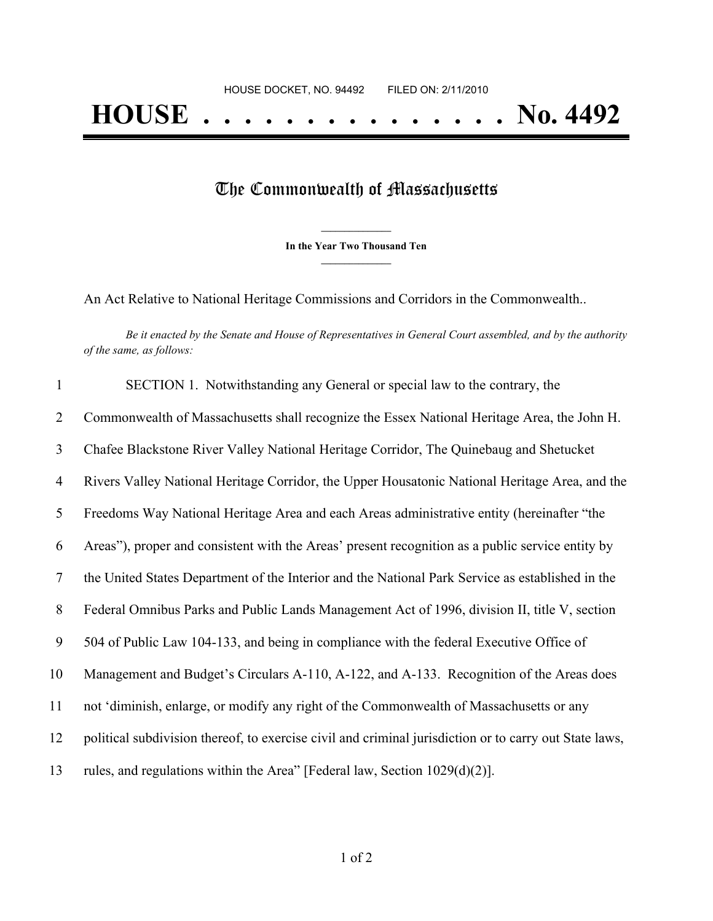## The Commonwealth of Massachusetts

**\_\_\_\_\_\_\_\_\_\_\_\_\_\_\_ In the Year Two Thousand Ten \_\_\_\_\_\_\_\_\_\_\_\_\_\_\_**

An Act Relative to National Heritage Commissions and Corridors in the Commonwealth..

Be it enacted by the Senate and House of Representatives in General Court assembled, and by the authority *of the same, as follows:*

| $\mathbf{1}$ | SECTION 1. Notwithstanding any General or special law to the contrary, the                             |
|--------------|--------------------------------------------------------------------------------------------------------|
| 2            | Commonwealth of Massachusetts shall recognize the Essex National Heritage Area, the John H.            |
| 3            | Chafee Blackstone River Valley National Heritage Corridor, The Quinebaug and Shetucket                 |
| 4            | Rivers Valley National Heritage Corridor, the Upper Housatonic National Heritage Area, and the         |
| 5            | Freedoms Way National Heritage Area and each Areas administrative entity (hereinafter "the             |
| 6            | Areas"), proper and consistent with the Areas' present recognition as a public service entity by       |
| 7            | the United States Department of the Interior and the National Park Service as established in the       |
| 8            | Federal Omnibus Parks and Public Lands Management Act of 1996, division II, title V, section           |
| 9            | 504 of Public Law 104-133, and being in compliance with the federal Executive Office of                |
| 10           | Management and Budget's Circulars A-110, A-122, and A-133. Recognition of the Areas does               |
| 11           | not 'diminish, enlarge, or modify any right of the Commonwealth of Massachusetts or any                |
| 12           | political subdivision thereof, to exercise civil and criminal jurisdiction or to carry out State laws, |
| 13           | rules, and regulations within the Area" [Federal law, Section 1029(d)(2)].                             |